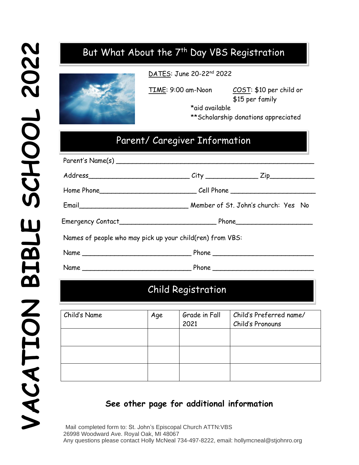# But What About the 7<sup>th</sup> Day VBS Registration



DATES: June 20-22nd 2022

TIME: 9:00 am-Noon COST: \$10 per child or \$15 per family

> \*aid available \*\*Scholarship donations appreciated

# Parent/ Caregiver Information

|                                                           | Email <b>Email</b> Email Email Email Email Email Email Email Email Email Email Email Email Email Email Email Email Email Email Email Email Email Email Email Email Email Email Email Email Email Email Email Email Email Email Emai |  |  |
|-----------------------------------------------------------|-------------------------------------------------------------------------------------------------------------------------------------------------------------------------------------------------------------------------------------|--|--|
|                                                           |                                                                                                                                                                                                                                     |  |  |
| Names of people who may pick up your child(ren) from VBS: |                                                                                                                                                                                                                                     |  |  |
|                                                           |                                                                                                                                                                                                                                     |  |  |
|                                                           |                                                                                                                                                                                                                                     |  |  |

## Child Registration

| Child's Name | Age | Grade in Fall<br>2021 | Child's Preferred name/<br>Child's Pronouns |
|--------------|-----|-----------------------|---------------------------------------------|
|              |     |                       |                                             |
|              |     |                       |                                             |
|              |     |                       |                                             |

#### **See other page for additional information**

Mail completed form to: St. John's Episcopal Church ATTN:VBS 26998 Woodward Ave. Royal Oak, MI 48067 Any questions please contact Holly McNeal 734-497-8222, email: hollymcneal@stjohnro.org